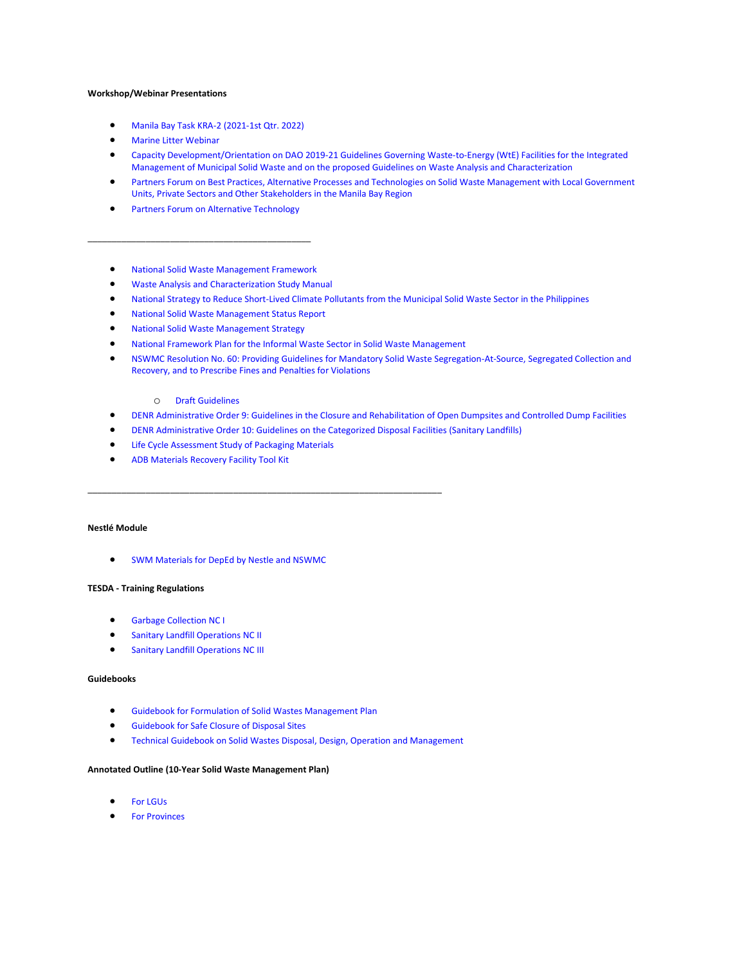# **Workshop/Webinar Presentations**

- [Manila Bay Task KRA-2 \(2021-1st Qtr. 2022\)](https://mega.nz/folder/tvwCQTKS#I74mVhT_I7Mc8yynIQg_sQ)
- [Marine Litter Webinar](https://mega.nz/folder/R2ARmS7C#sLLohpDQCMZ_NqsIYjZ7Ag)
- [Capacity Development/Orientation on DAO 2019-21 Guidelines Governing Waste-to-Energy \(WtE\) Facilities for the Integrated](https://mega.nz/folder/BnoH2KSS#hWK21y_5_DgX6L1WsdBeIg)  [Management of Municipal Solid Waste and on the proposed Guidelines on Waste Analysis and Characterization](https://mega.nz/folder/BnoH2KSS#hWK21y_5_DgX6L1WsdBeIg)
- [Partners Forum on Best Practices, Alternative Processes and Technologies on Solid Waste Management with Local Government](https://mega.nz/folder/0uYgWASB#eT_i9QL6xQoalMzRfXanNw)  [Units, Private Sectors and Other Stakeholders in the Manila Bay Region](https://mega.nz/folder/0uYgWASB#eT_i9QL6xQoalMzRfXanNw)
- **[Partners Forum on Alternative Technology](https://mega.nz/folder/lzBgWK4B#gCMxeyXqPgFRbUGEMAs76g)**

\_\_\_\_\_\_\_\_\_\_\_\_\_\_\_\_\_\_\_\_\_\_\_\_\_\_\_\_\_\_\_\_\_\_\_\_\_\_\_\_\_\_\_\_\_\_

### • [National Solid Waste Management Framework](http://nswmc.emb.gov.ph/wp-content/uploads/2017/11/NSWMC-FRAMEWORK-PDF.pdf)

- [Waste Analysis and Characterization Study Manual](https://drive.google.com/drive/folders/1OdnqdaR65m1s5rRRJmthG2CQsAuSJQiM)
- [National Strategy to Reduce Short-Lived Climate Pollutants from the Municipal Solid Waste Sector in the Philippines](https://drive.google.com/drive/folders/1F45zsMdN13pBTHkmOcEDHwfqug89IXdD?usp=sharing)
- [National Solid Waste Management Status Report](http://eeid.emb.gov.ph/wp-content/uploads/2020/07/SOLIDWASTE-LAYOUT_final.pdf)
- [National Solid Waste Management Strategy](http://nswmc.emb.gov.ph/wp-content/uploads/2016/07/NSWM-Strategy-2012-2016.pdf)
- [National Framework Plan for the Informal Waste Sector in Solid Waste Management](https://drive.google.com/file/d/1zbERYSMEHA-81ohyOQzj5Da7Mf80R9MH/view?usp=sharing)
- [NSWMC Resolution No. 60: Providing Guidelines for Mandatory Solid Waste Segregation-At-Source, Segregated Collection and](http://nswmc.emb.gov.ph/wp-content/uploads/2018/01/RESO-60-SAS.pdf)  [Recovery, and to Prescribe Fines and Penalties for Violations](http://nswmc.emb.gov.ph/wp-content/uploads/2018/01/RESO-60-SAS.pdf)

## o [Draft Guidelines](http://nswmc.emb.gov.ph/wp-content/uploads/2018/01/draft-dao-on-segregation-at-source.pdf)

- [DENR Administrative Order 9: Guidelines in the Closure and Rehabilitation of Open Dumpsites and Controlled Dump Facilities](http://nswmc.emb.gov.ph/wp-content/uploads/2018/01/DAO-9_pdf.pdf)
- [DENR Administrative Order 10: Guidelines on the Categorized Disposal Facilities \(Sanitary Landfills\)](http://nswmc.emb.gov.ph/wp-content/uploads/2018/01/DAO-10_pdf.pdf)
- [Life Cycle Assessment Study of Packaging Materials](https://drive.google.com/file/d/1maWsbBRgvzzrMYqixi9yK78EgYV21b5n/view?usp=sharing)

\_\_\_\_\_\_\_\_\_\_\_\_\_\_\_\_\_\_\_\_\_\_\_\_\_\_\_\_\_\_\_\_\_\_\_\_\_\_\_\_\_\_\_\_\_\_\_\_\_\_\_\_\_\_\_\_\_\_\_\_\_\_\_\_\_\_\_\_\_\_\_\_\_

• [ADB Materials Recovery Facility Tool Kit](https://drive.google.com/file/d/1t9LY9IKd3FM8nZLfpn3n_9qvjn2HZ-Yx/view?usp=sharing)

# **[Nestlé Module](https://www.bing.com/ck/a?!&&p=4d5eeeda04f7858b55a2d3697831598c6760c34bdc7f94b1bc1d32c8778856bfJmltdHM9MTY1MjkzNjI5NCZpZ3VpZD1kNjA1ZmNkZC05YjliLTRjNDAtODM4Zi0wZDE0NjZlMDEyNTgmaW5zaWQ9NTE4MA&ptn=3&fclid=4a12e0e5-d730-11ec-8a22-9a926f7d60af&u=a1aHR0cHM6Ly93d3cubmVzdGxlLmNvbS8&ntb=1)**

• [SWM Materials for DepEd by Nestle and NSWMC](https://drive.google.com/drive/folders/1z5L_1ejrgNw8KzfZ-spWyVBY1YTllX9U?usp=sharing)

# **TESDA - Training Regulations**

- [Garbage Collection NC I](http://nswmc.emb.gov.ph/wp-content/uploads/2019/02/TR-Garbage-Collection-NC-I.pdf)
- [Sanitary Landfill Operations NC II](http://nswmc.emb.gov.ph/wp-content/uploads/2019/02/TR-Sanitary-Landfill-Operations-NC-II.pdf)
- **[Sanitary Landfill Operations NC III](http://nswmc.emb.gov.ph/wp-content/uploads/2019/02/TR-Sanitary-Landfill-Operations-NC-III.pdf)**

#### **Guidebooks**

- [Guidebook for Formulation of Solid Wastes Management Plan](https://drive.google.com/file/d/1BNDi60O-lb9pyqsA1DJuCcrry6KNjzH8/view?usp=sharing)
- [Guidebook for Safe Closure of Disposal Sites](https://drive.google.com/file/d/1Rb417uOK1JuNNCHfS8O7CPAdP9RbXDZG/view?usp=sharing)
- [Technical Guidebook on Solid Wastes Disposal, Design, Operation and Management](https://drive.google.com/file/d/115T11ZDbOVTVDuepIG18bx5l32BOuQwR/view?usp=sharing)

## **Annotated Outline (10-Year Solid Waste Management Plan)**

- **[For LGUs](http://nswmc.emb.gov.ph/wp-content/uploads/2018/08/annotated-outline1.doc)**
- **[For Provinces](http://nswmc.emb.gov.ph/wp-content/uploads/2018/08/Provincial-Annotated-outline1.doc)**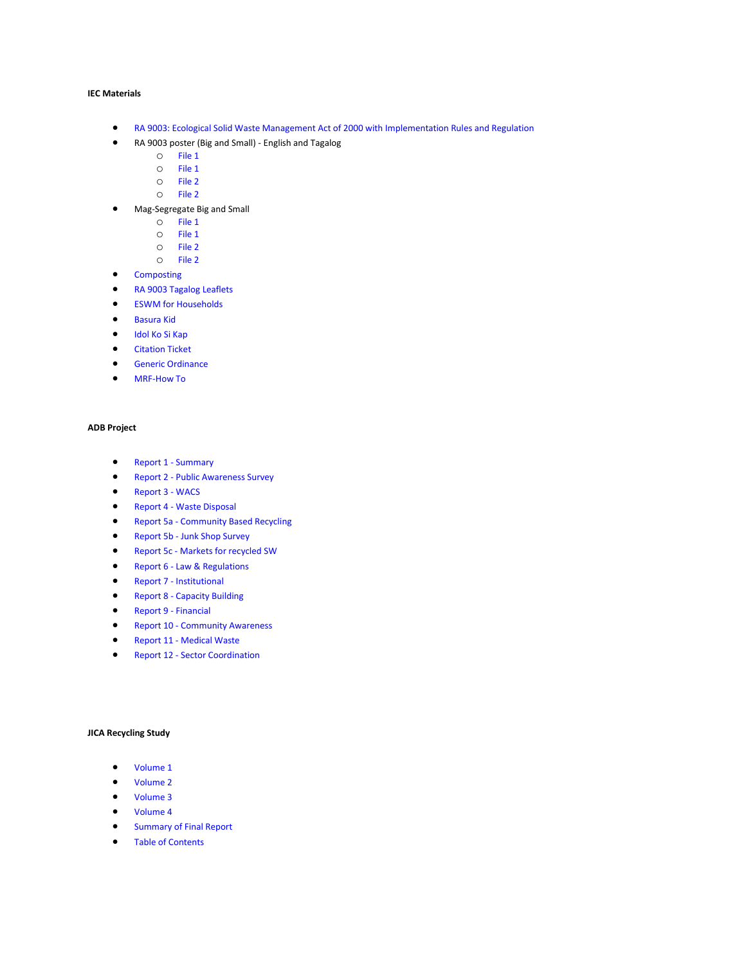# **IEC Materials**

- [RA 9003: Ecological Solid Waste Management Act of 2000 with Implementation Rules and Regulation](http://nswmc.emb.gov.ph/wp-content/uploads/2016/07/RA-IRR-2012-NEW-SEND-FILE-sept-10.pdf)
- RA 9003 poster (Big and Small) English and Tagalog
	- o [File 1](http://nswmc.emb.gov.ph/wp-content/uploads/2018/01/Republic-Act-9003Englishversion.jpg)
	- o [File 1](http://nswmc.emb.gov.ph/wp-content/uploads/2018/01/EMB-Republic-Act-9003-ENGLISH-REV2-12-1-2016.pdf)
	- o [File 2](http://nswmc.emb.gov.ph/wp-content/uploads/2018/01/Republic-Act-9003tagalogversion.jpg)
	- o [File 2](http://nswmc.emb.gov.ph/wp-content/uploads/2018/01/EMB-Republic-Act-9003-Tagalog-REV2-12-1-2016.pdf)
- Mag-Segregate Big and Small
	- o [File 1](http://nswmc.emb.gov.ph/wp-content/uploads/2018/01/mag-segregate-poster-part1.jpg)
	- o [File 1](http://nswmc.emb.gov.ph/wp-content/uploads/2018/01/EMB-MagSegregate-POSTER-1-REV2-12-1-2016.pdf)
	- o [File 2](http://nswmc.emb.gov.ph/wp-content/uploads/2018/01/mag-segregate-poster-part2.jpg)
	- o [File 2](http://nswmc.emb.gov.ph/wp-content/uploads/2018/01/EMB-MagSegregate-POSTER-2-REV2-12-1-2016.pdf)
- [Composting](http://nswmc.emb.gov.ph/wp-content/uploads/2016/06/5.composting.pdf)
- [RA 9003 Tagalog Leaflets](http://nswmc.emb.gov.ph/wp-content/uploads/2018/01/RA_9003_2015_final.pdf)
- [ESWM for Households](http://nswmc.emb.gov.ph/wp-content/uploads/2016/06/6.ESWM-for-HH.pdf)
- [Basura Kid](http://nswmc.emb.gov.ph/wp-content/uploads/2016/06/7.basura-kid.pdf)
- [Idol Ko Si Kap](http://nswmc.emb.gov.ph/wp-content/uploads/2016/07/idol_ko_si_kap_2015-copy.pdf)
- [Citation Ticket](http://nswmc.emb.gov.ph/wp-content/uploads/2016/09/MMDA-Citation-Ticket.pdf)
- [Generic Ordinance](http://nswmc.emb.gov.ph/wp-content/uploads/2016/09/Sample-Ordinance.pdf)
- [MRF-How To](http://nswmc.emb.gov.ph/wp-content/uploads/2016/09/howtomrf.pdf)

# **ADB Project**

- [Report 1 -](http://nswmc.emb.gov.ph/wp-content/uploads/2016/08/Report-1-Summary.pdf) Summary
- Report 2 [Public Awareness Survey](http://nswmc.emb.gov.ph/wp-content/uploads/2016/07/Report-2-Public-Awareness-Survey.pdf)
- [Report 3 -](http://nswmc.emb.gov.ph/wp-content/uploads/2016/07/Report-3-WACS.pdf) WACS
- Report 4 [Waste Disposal](http://nswmc.emb.gov.ph/wp-content/uploads/2016/08/Report-4-Waste-Disposal.pdf)
- Report 5a [Community Based Recycling](http://nswmc.emb.gov.ph/wp-content/uploads/2016/07/Report-5a-Community-Based-Recycling.pdf)
- Report 5b [Junk Shop Survey](http://nswmc.emb.gov.ph/wp-content/uploads/2016/07/Report-5b-Junk-Shop-Survey.pdf)
- Report 5c [Markets for recycled](http://nswmc.emb.gov.ph/wp-content/uploads/2016/08/Report-5c-Markets-for-recycled-SW.pdf) SW
- Report 6 [Law & Regulations](http://nswmc.emb.gov.ph/wp-content/uploads/2016/07/Report-6-Laws-Regulations.pdf)
- Report 7 [Institutional](http://nswmc.emb.gov.ph/wp-content/uploads/2016/08/Report-7-Institutional.pdf)
- Report 8 [Capacity Building](http://nswmc.emb.gov.ph/wp-content/uploads/2016/08/Report-8-Capacity-Building.pdf)
- [Report 9 -](http://nswmc.emb.gov.ph/wp-content/uploads/2016/07/Report-9-Financial.pdf) Financial
- Report 10 [Community Awareness](http://nswmc.emb.gov.ph/wp-content/uploads/2016/08/Report-10-Community-Awareness.pdf)
- Report 11 [Medical Waste](http://nswmc.emb.gov.ph/wp-content/uploads/2016/08/Report-11-medical-waste.pdf)
- Report 12 [Sector Coordination](http://nswmc.emb.gov.ph/wp-content/uploads/2016/07/Report-12-Sector-Coordination.pdf)

#### **JICA Recycling Study**

- [Volume 1](http://nswmc.emb.gov.ph/wp-content/uploads/2018/03/Final-Report-Volume-I.pdf)
- [Volume 2](http://nswmc.emb.gov.ph/wp-content/uploads/2018/03/Final-Report-Volume-II.pdf)
- [Volume 3](http://nswmc.emb.gov.ph/wp-content/uploads/2018/03/Final-Report-Volume-III.pdf)
- [Volume 4](http://nswmc.emb.gov.ph/wp-content/uploads/2018/03/Final-Report-Volume-IV.pdf)
- [Summary of Final Report](http://nswmc.emb.gov.ph/wp-content/uploads/2018/03/Summary-of-Final-Report-_complete_.pdf)
- [Table of Contents](http://nswmc.emb.gov.ph/wp-content/uploads/2018/03/Table-of-Contents-for-Printing-Final.pdf)